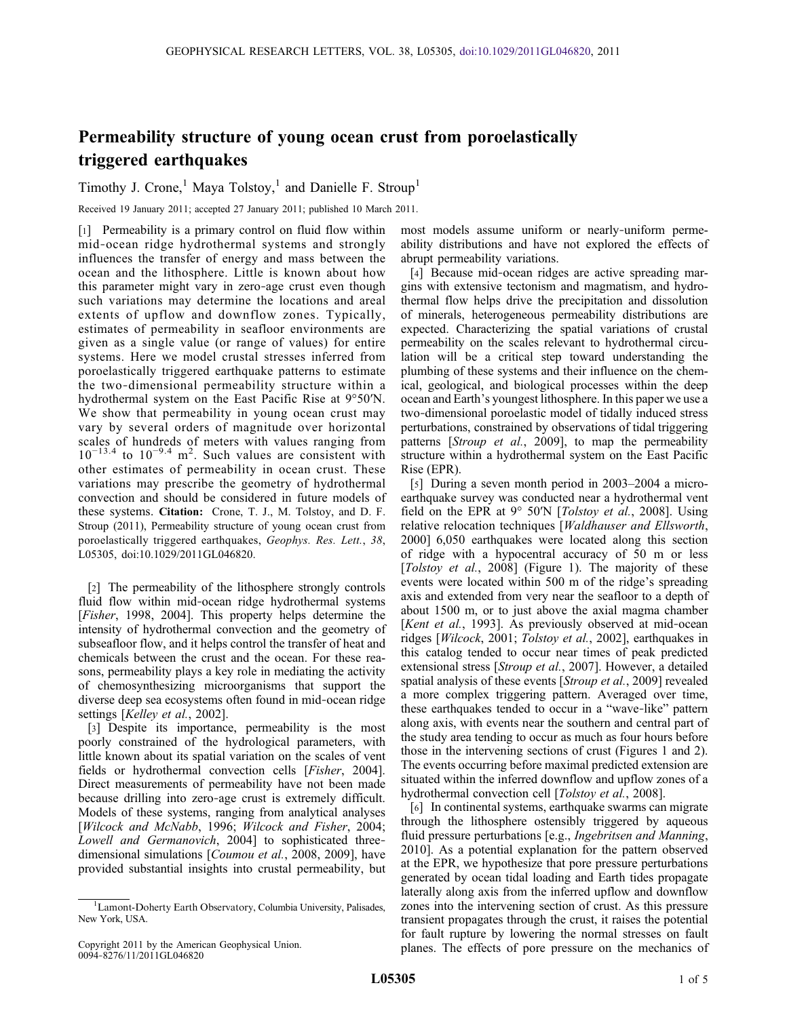## Permeability structure of young ocean crust from poroelastically triggered earthquakes

Timothy J. Crone,<sup>1</sup> Maya Tolstoy,<sup>1</sup> and Danielle F. Stroup<sup>1</sup>

Received 19 January 2011; accepted 27 January 2011; published 10 March 2011.

[1] Permeability is a primary control on fluid flow within mid‐ocean ridge hydrothermal systems and strongly influences the transfer of energy and mass between the ocean and the lithosphere. Little is known about how this parameter might vary in zero‐age crust even though such variations may determine the locations and areal extents of upflow and downflow zones. Typically, estimates of permeability in seafloor environments are given as a single value (or range of values) for entire systems. Here we model crustal stresses inferred from poroelastically triggered earthquake patterns to estimate the two‐dimensional permeability structure within a hydrothermal system on the East Pacific Rise at 9°50′N. We show that permeability in young ocean crust may vary by several orders of magnitude over horizontal scales of hundreds of meters with values ranging from  $10^{-13.4}$  to  $10^{-9.4}$  m<sup>2</sup>. Such values are consistent with other estimates of permeability in ocean crust. These variations may prescribe the geometry of hydrothermal convection and should be considered in future models of these systems. Citation: Crone, T. J., M. Tolstoy, and D. F. Stroup (2011), Permeability structure of young ocean crust from poroelastically triggered earthquakes, Geophys. Res. Lett., 38, L05305, doi:10.1029/2011GL046820.

[2] The permeability of the lithosphere strongly controls fluid flow within mid‐ocean ridge hydrothermal systems [Fisher, 1998, 2004]. This property helps determine the intensity of hydrothermal convection and the geometry of subseafloor flow, and it helps control the transfer of heat and chemicals between the crust and the ocean. For these reasons, permeability plays a key role in mediating the activity of chemosynthesizing microorganisms that support the diverse deep sea ecosystems often found in mid‐ocean ridge settings [Kelley et al., 2002].

[3] Despite its importance, permeability is the most poorly constrained of the hydrological parameters, with little known about its spatial variation on the scales of vent fields or hydrothermal convection cells [Fisher, 2004]. Direct measurements of permeability have not been made because drilling into zero‐age crust is extremely difficult. Models of these systems, ranging from analytical analyses [Wilcock and McNabb, 1996; Wilcock and Fisher, 2004; Lowell and Germanovich, 2004] to sophisticated three‐ dimensional simulations [*Coumou et al.*, 2008, 2009], have provided substantial insights into crustal permeability, but

most models assume uniform or nearly‐uniform permeability distributions and have not explored the effects of abrupt permeability variations.

[4] Because mid-ocean ridges are active spreading margins with extensive tectonism and magmatism, and hydrothermal flow helps drive the precipitation and dissolution of minerals, heterogeneous permeability distributions are expected. Characterizing the spatial variations of crustal permeability on the scales relevant to hydrothermal circulation will be a critical step toward understanding the plumbing of these systems and their influence on the chemical, geological, and biological processes within the deep ocean and Earth's youngest lithosphere. In this paper we use a two‐dimensional poroelastic model of tidally induced stress perturbations, constrained by observations of tidal triggering patterns [Stroup et al., 2009], to map the permeability structure within a hydrothermal system on the East Pacific Rise (EPR).

[5] During a seven month period in 2003–2004 a microearthquake survey was conducted near a hydrothermal vent field on the EPR at  $9^{\circ}$  50′N [*Tolstoy et al.*, 2008]. Using relative relocation techniques [Waldhauser and Ellsworth, 2000] 6,050 earthquakes were located along this section of ridge with a hypocentral accuracy of 50 m or less [*Tolstoy et al.*, 2008] (Figure 1). The majority of these events were located within 500 m of the ridge's spreading axis and extended from very near the seafloor to a depth of about 1500 m, or to just above the axial magma chamber [*Kent et al.*, 1993]. As previously observed at mid-ocean ridges [Wilcock, 2001; Tolstoy et al., 2002], earthquakes in this catalog tended to occur near times of peak predicted extensional stress [Stroup et al., 2007]. However, a detailed spatial analysis of these events [Stroup et al., 2009] revealed a more complex triggering pattern. Averaged over time, these earthquakes tended to occur in a "wave‐like" pattern along axis, with events near the southern and central part of the study area tending to occur as much as four hours before those in the intervening sections of crust (Figures 1 and 2). The events occurring before maximal predicted extension are situated within the inferred downflow and upflow zones of a hydrothermal convection cell [*Tolstoy et al.*, 2008].

[6] In continental systems, earthquake swarms can migrate through the lithosphere ostensibly triggered by aqueous fluid pressure perturbations [e.g., Ingebritsen and Manning, 2010]. As a potential explanation for the pattern observed at the EPR, we hypothesize that pore pressure perturbations generated by ocean tidal loading and Earth tides propagate laterally along axis from the inferred upflow and downflow zones into the intervening section of crust. As this pressure transient propagates through the crust, it raises the potential for fault rupture by lowering the normal stresses on fault planes. The effects of pore pressure on the mechanics of

<sup>&</sup>lt;sup>1</sup>Lamont-Doherty Earth Observatory, Columbia University, Palisades, New York, USA.

Copyright 2011 by the American Geophysical Union. 0094‐8276/11/2011GL046820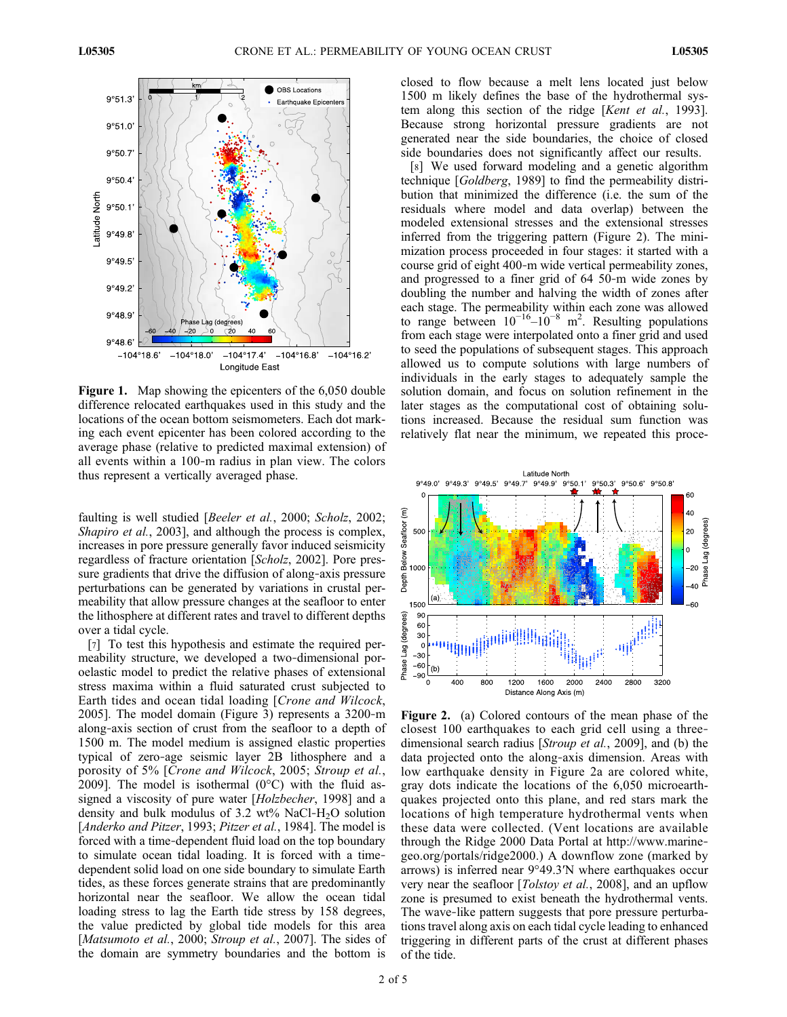

Figure 1. Map showing the epicenters of the 6,050 double difference relocated earthquakes used in this study and the locations of the ocean bottom seismometers. Each dot marking each event epicenter has been colored according to the average phase (relative to predicted maximal extension) of all events within a 100‐m radius in plan view. The colors thus represent a vertically averaged phase.

faulting is well studied [*Beeler et al.*, 2000; *Scholz*, 2002; Shapiro et al., 2003], and although the process is complex, increases in pore pressure generally favor induced seismicity regardless of fracture orientation [Scholz, 2002]. Pore pressure gradients that drive the diffusion of along‐axis pressure perturbations can be generated by variations in crustal permeability that allow pressure changes at the seafloor to enter the lithosphere at different rates and travel to different depths over a tidal cycle.

[7] To test this hypothesis and estimate the required permeability structure, we developed a two-dimensional poroelastic model to predict the relative phases of extensional stress maxima within a fluid saturated crust subjected to Earth tides and ocean tidal loading [Crone and Wilcock, 2005]. The model domain (Figure 3) represents a 3200‐m along‐axis section of crust from the seafloor to a depth of 1500 m. The model medium is assigned elastic properties typical of zero‐age seismic layer 2B lithosphere and a porosity of 5% [Crone and Wilcock, 2005; Stroup et al., 2009]. The model is isothermal  $(0^{\circ}C)$  with the fluid assigned a viscosity of pure water [Holzbecher, 1998] and a density and bulk modulus of 3.2 wt% NaCl-H<sub>2</sub>O solution [Anderko and Pitzer, 1993; Pitzer et al., 1984]. The model is forced with a time‐dependent fluid load on the top boundary to simulate ocean tidal loading. It is forced with a time‐ dependent solid load on one side boundary to simulate Earth tides, as these forces generate strains that are predominantly horizontal near the seafloor. We allow the ocean tidal loading stress to lag the Earth tide stress by 158 degrees, the value predicted by global tide models for this area [Matsumoto et al., 2000; Stroup et al., 2007]. The sides of the domain are symmetry boundaries and the bottom is

closed to flow because a melt lens located just below 1500 m likely defines the base of the hydrothermal system along this section of the ridge [Kent et al., 1993]. Because strong horizontal pressure gradients are not generated near the side boundaries, the choice of closed side boundaries does not significantly affect our results.

[8] We used forward modeling and a genetic algorithm technique [Goldberg, 1989] to find the permeability distribution that minimized the difference (i.e. the sum of the residuals where model and data overlap) between the modeled extensional stresses and the extensional stresses inferred from the triggering pattern (Figure 2). The minimization process proceeded in four stages: it started with a course grid of eight 400‐m wide vertical permeability zones, and progressed to a finer grid of 64 50‐m wide zones by doubling the number and halving the width of zones after each stage. The permeability within each zone was allowed to range between  $10^{-16} - 10^{-8}$  m<sup>2</sup>. Resulting populations from each stage were interpolated onto a finer grid and used to seed the populations of subsequent stages. This approach allowed us to compute solutions with large numbers of individuals in the early stages to adequately sample the solution domain, and focus on solution refinement in the later stages as the computational cost of obtaining solutions increased. Because the residual sum function was relatively flat near the minimum, we repeated this proce-



Figure 2. (a) Colored contours of the mean phase of the closest 100 earthquakes to each grid cell using a three‐ dimensional search radius [Stroup et al., 2009], and (b) the data projected onto the along‐axis dimension. Areas with low earthquake density in Figure 2a are colored white, gray dots indicate the locations of the 6,050 microearthquakes projected onto this plane, and red stars mark the locations of high temperature hydrothermal vents when these data were collected. (Vent locations are available through the Ridge 2000 Data Portal at http://www.marine‐ geo.org/portals/ridge2000.) A downflow zone (marked by arrows) is inferred near 9°49.3′N where earthquakes occur very near the seafloor [*Tolstoy et al.*, 2008], and an upflow zone is presumed to exist beneath the hydrothermal vents. The wave-like pattern suggests that pore pressure perturbations travel along axis on each tidal cycle leading to enhanced triggering in different parts of the crust at different phases of the tide.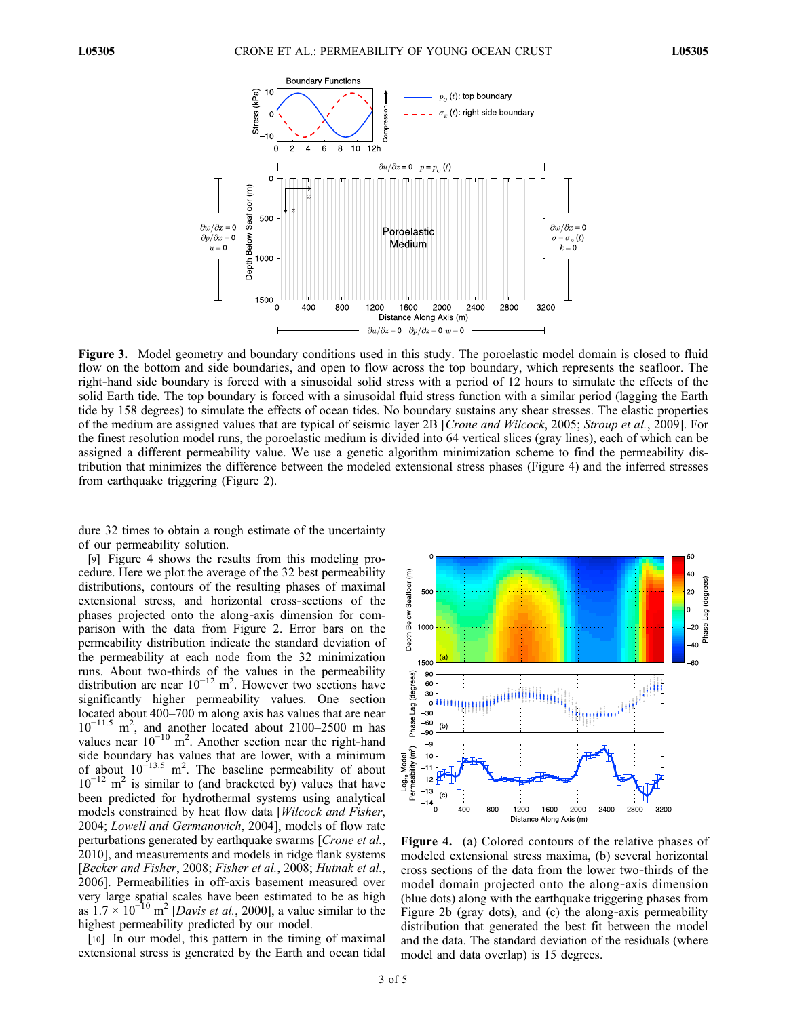

Figure 3. Model geometry and boundary conditions used in this study. The poroelastic model domain is closed to fluid flow on the bottom and side boundaries, and open to flow across the top boundary, which represents the seafloor. The right‐hand side boundary is forced with a sinusoidal solid stress with a period of 12 hours to simulate the effects of the solid Earth tide. The top boundary is forced with a sinusoidal fluid stress function with a similar period (lagging the Earth tide by 158 degrees) to simulate the effects of ocean tides. No boundary sustains any shear stresses. The elastic properties of the medium are assigned values that are typical of seismic layer 2B [Crone and Wilcock, 2005; Stroup et al., 2009]. For the finest resolution model runs, the poroelastic medium is divided into 64 vertical slices (gray lines), each of which can be assigned a different permeability value. We use a genetic algorithm minimization scheme to find the permeability distribution that minimizes the difference between the modeled extensional stress phases (Figure 4) and the inferred stresses from earthquake triggering (Figure 2).

dure 32 times to obtain a rough estimate of the uncertainty of our permeability solution.

[9] Figure 4 shows the results from this modeling procedure. Here we plot the average of the 32 best permeability distributions, contours of the resulting phases of maximal extensional stress, and horizontal cross‐sections of the phases projected onto the along‐axis dimension for comparison with the data from Figure 2. Error bars on the permeability distribution indicate the standard deviation of the permeability at each node from the 32 minimization runs. About two‐thirds of the values in the permeability distribution are near  $10^{-12}$  m<sup>2</sup>. However two sections have significantly higher permeability values. One section located about 400–700 m along axis has values that are near 10−11.5 m2 , and another located about 2100–2500 m has values near  $10^{-10}$  m<sup>2</sup>. Another section near the right-hand side boundary has values that are lower, with a minimum of about  $10^{-13.5}$  m<sup>2</sup>. The baseline permeability of about  $10^{-12}$  m<sup>2</sup> is similar to (and bracketed by) values that have been predicted for hydrothermal systems using analytical models constrained by heat flow data [Wilcock and Fisher, 2004; Lowell and Germanovich, 2004], models of flow rate perturbations generated by earthquake swarms [Crone et al., 2010], and measurements and models in ridge flank systems [Becker and Fisher, 2008; Fisher et al., 2008; Hutnak et al., 2006]. Permeabilities in off‐axis basement measured over very large spatial scales have been estimated to be as high as  $1.7 \times 10^{-10}$  m<sup>2</sup> [Davis et al., 2000], a value similar to the highest permeability predicted by our model.

[10] In our model, this pattern in the timing of maximal extensional stress is generated by the Earth and ocean tidal



Figure 4. (a) Colored contours of the relative phases of modeled extensional stress maxima, (b) several horizontal cross sections of the data from the lower two‐thirds of the model domain projected onto the along‐axis dimension (blue dots) along with the earthquake triggering phases from Figure 2b (gray dots), and (c) the along‐axis permeability distribution that generated the best fit between the model and the data. The standard deviation of the residuals (where model and data overlap) is 15 degrees.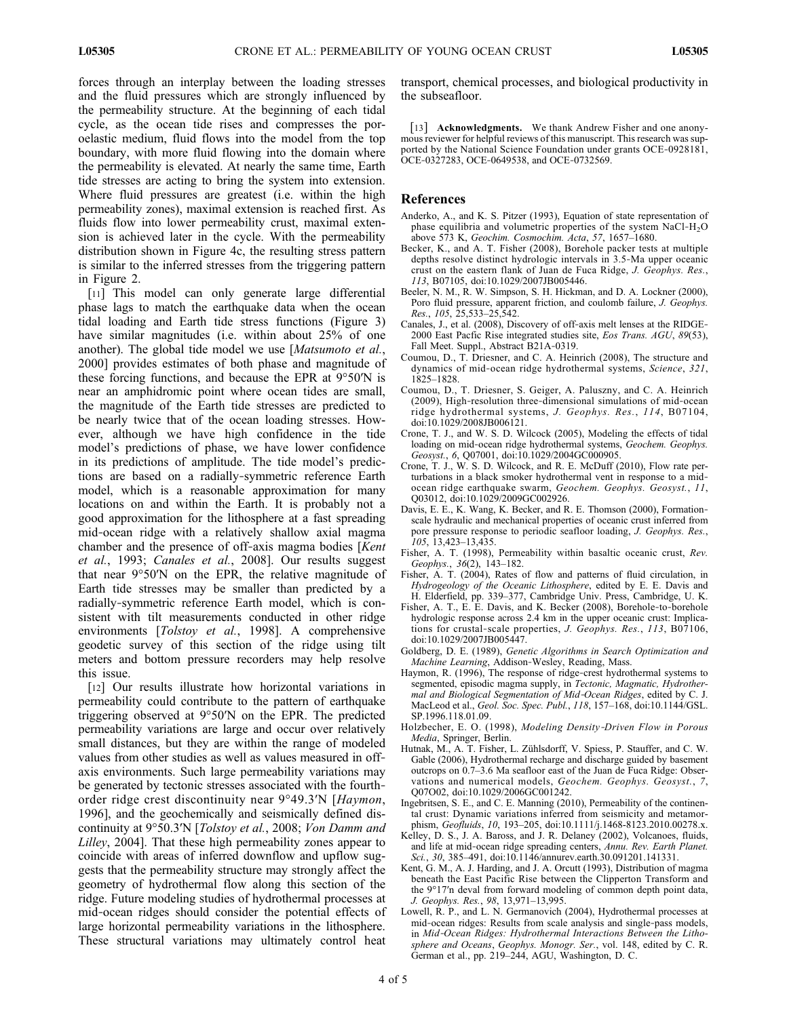forces through an interplay between the loading stresses and the fluid pressures which are strongly influenced by the permeability structure. At the beginning of each tidal cycle, as the ocean tide rises and compresses the poroelastic medium, fluid flows into the model from the top boundary, with more fluid flowing into the domain where the permeability is elevated. At nearly the same time, Earth tide stresses are acting to bring the system into extension. Where fluid pressures are greatest (i.e. within the high permeability zones), maximal extension is reached first. As fluids flow into lower permeability crust, maximal extension is achieved later in the cycle. With the permeability distribution shown in Figure 4c, the resulting stress pattern is similar to the inferred stresses from the triggering pattern in Figure 2.

[11] This model can only generate large differential phase lags to match the earthquake data when the ocean tidal loading and Earth tide stress functions (Figure 3) have similar magnitudes (i.e. within about 25% of one another). The global tide model we use [Matsumoto et al., 2000] provides estimates of both phase and magnitude of these forcing functions, and because the EPR at 9°50′N is near an amphidromic point where ocean tides are small, the magnitude of the Earth tide stresses are predicted to be nearly twice that of the ocean loading stresses. However, although we have high confidence in the tide model's predictions of phase, we have lower confidence in its predictions of amplitude. The tide model's predictions are based on a radially‐symmetric reference Earth model, which is a reasonable approximation for many locations on and within the Earth. It is probably not a good approximation for the lithosphere at a fast spreading mid‐ocean ridge with a relatively shallow axial magma chamber and the presence of off-axis magma bodies [Kent] et al., 1993; Canales et al., 2008]. Our results suggest that near 9°50′N on the EPR, the relative magnitude of Earth tide stresses may be smaller than predicted by a radially‐symmetric reference Earth model, which is consistent with tilt measurements conducted in other ridge environments [Tolstoy et al., 1998]. A comprehensive geodetic survey of this section of the ridge using tilt meters and bottom pressure recorders may help resolve this issue.

[12] Our results illustrate how horizontal variations in permeability could contribute to the pattern of earthquake triggering observed at 9°50′N on the EPR. The predicted permeability variations are large and occur over relatively small distances, but they are within the range of modeled values from other studies as well as values measured in off‐ axis environments. Such large permeability variations may be generated by tectonic stresses associated with the fourth‐ order ridge crest discontinuity near 9°49.3′N [Haymon, 1996], and the geochemically and seismically defined discontinuity at 9°50.3′N [Tolstoy et al., 2008; Von Damm and Lilley, 2004]. That these high permeability zones appear to coincide with areas of inferred downflow and upflow suggests that the permeability structure may strongly affect the geometry of hydrothermal flow along this section of the ridge. Future modeling studies of hydrothermal processes at mid‐ocean ridges should consider the potential effects of large horizontal permeability variations in the lithosphere. These structural variations may ultimately control heat

transport, chemical processes, and biological productivity in the subseafloor.

[13] Acknowledgments. We thank Andrew Fisher and one anonymous reviewer for helpful reviews of this manuscript. This research was supported by the National Science Foundation under grants OCE-0928181, OCE‐0327283, OCE‐0649538, and OCE‐0732569.

## References

- Anderko, A., and K. S. Pitzer (1993), Equation of state representation of phase equilibria and volumetric properties of the system NaCl-H<sub>2</sub>O above 573 K, Geochim. Cosmochim. Acta, 57, 1657–1680.
- Becker, K., and A. T. Fisher (2008), Borehole packer tests at multiple depths resolve distinct hydrologic intervals in 3.5‐Ma upper oceanic crust on the eastern flank of Juan de Fuca Ridge, J. Geophys. Res., 113, B07105, doi:10.1029/2007JB005446.
- Beeler, N. M., R. W. Simpson, S. H. Hickman, and D. A. Lockner (2000), Poro fluid pressure, apparent friction, and coulomb failure, J. Geophys. Res., 105, 25,533–25,542.
- Canales, J., et al. (2008), Discovery of off‐axis melt lenses at the RIDGE‐ 2000 East Pacfic Rise integrated studies site, Eos Trans. AGU, 89(53), Fall Meet. Suppl., Abstract B21A‐0319.
- Coumou, D., T. Driesner, and C. A. Heinrich (2008), The structure and dynamics of mid-ocean ridge hydrothermal systems, Science, 321, 1825–1828.
- Coumou, D., T. Driesner, S. Geiger, A. Paluszny, and C. A. Heinrich (2009), High‐resolution three‐dimensional simulations of mid‐ocean ridge hydrothermal systems, J. Geophys. Res., 114, B07104, doi:10.1029/2008JB006121.
- Crone, T. J., and W. S. D. Wilcock (2005), Modeling the effects of tidal loading on mid‐ocean ridge hydrothermal systems, Geochem. Geophys. Geosyst., 6, Q07001, doi:10.1029/2004GC000905.
- Crone, T. J., W. S. D. Wilcock, and R. E. McDuff (2010), Flow rate perturbations in a black smoker hydrothermal vent in response to a midocean ridge earthquake swarm, Geochem. Geophys. Geosyst., 11, Q03012, doi:10.1029/2009GC002926.
- Davis, E. E., K. Wang, K. Becker, and R. E. Thomson (2000), Formation‐ scale hydraulic and mechanical properties of oceanic crust inferred from pore pressure response to periodic seafloor loading, J. Geophys. Res., 105, 13,423–13,435.
- Fisher, A. T. (1998), Permeability within basaltic oceanic crust, Rev. Geophys., 36(2), 143–182.
- Fisher, A. T. (2004), Rates of flow and patterns of fluid circulation, in Hydrogeology of the Oceanic Lithosphere, edited by E. E. Davis and H. Elderfield, pp. 339–377, Cambridge Univ. Press, Cambridge, U. K.
- Fisher, A. T., E. E. Davis, and K. Becker (2008), Borehole‐to‐borehole hydrologic response across 2.4 km in the upper oceanic crust: Implications for crustal-scale properties, J. Geophys. Res., 113, B07106, doi:10.1029/2007JB005447.
- Goldberg, D. E. (1989), Genetic Algorithms in Search Optimization and Machine Learning, Addison‐Wesley, Reading, Mass.
- Haymon, R. (1996), The response of ridge-crest hydrothermal systems to segmented, episodic magma supply, in Tectonic, Magmatic, Hydrothermal and Biological Segmentation of Mid‐Ocean Ridges, edited by C. J. MacLeod et al., Geol. Soc. Spec. Publ., 118, 157–168, doi:10.1144/GSL. SP.1996.118.01.09.
- Holzbecher, E. O. (1998), Modeling Density‐Driven Flow in Porous Media, Springer, Berlin.
- Hutnak, M., A. T. Fisher, L. Zühlsdorff, V. Spiess, P. Stauffer, and C. W. Gable (2006), Hydrothermal recharge and discharge guided by basement outcrops on 0.7–3.6 Ma seafloor east of the Juan de Fuca Ridge: Observations and numerical models, Geochem. Geophys. Geosyst., 7, Q07O02, doi:10.1029/2006GC001242.
- Ingebritsen, S. E., and C. E. Manning (2010), Permeability of the continental crust: Dynamic variations inferred from seismicity and metamorphism, Geofluids, 10, 193–205, doi:10.1111/j.1468-8123.2010.00278.x.
- Kelley, D. S., J. A. Baross, and J. R. Delaney (2002), Volcanoes, fluids, and life at mid‐ocean ridge spreading centers, Annu. Rev. Earth Planet. Sci., 30, 385-491, doi:10.1146/annurev.earth.30.091201.141331.
- Kent, G. M., A. J. Harding, and J. A. Orcutt (1993), Distribution of magma beneath the East Pacific Rise between the Clipperton Transform and the 9°17′n deval from forward modeling of common depth point data, J. Geophys. Res., 98, 13,971–13,995.
- Lowell, R. P., and L. N. Germanovich (2004), Hydrothermal processes at mid‐ocean ridges: Results from scale analysis and single‐pass models, in Mid‐Ocean Ridges: Hydrothermal Interactions Between the Lithosphere and Oceans, Geophys. Monogr. Ser., vol. 148, edited by C. R. German et al., pp. 219–244, AGU, Washington, D. C.